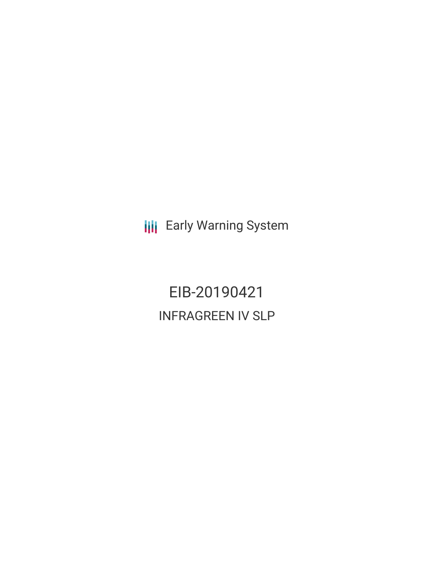**III** Early Warning System

EIB-20190421 INFRAGREEN IV SLP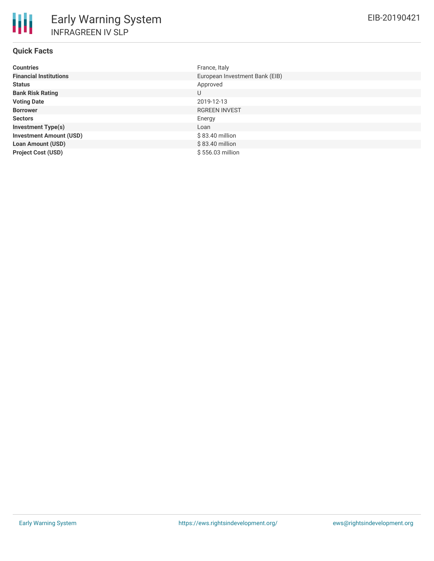# **Quick Facts**

| <b>Countries</b>               | France, Italy                  |
|--------------------------------|--------------------------------|
| <b>Financial Institutions</b>  | European Investment Bank (EIB) |
| <b>Status</b>                  | Approved                       |
| <b>Bank Risk Rating</b>        | U                              |
| <b>Voting Date</b>             | 2019-12-13                     |
| <b>Borrower</b>                | <b>RGREEN INVEST</b>           |
| <b>Sectors</b>                 | Energy                         |
| <b>Investment Type(s)</b>      | Loan                           |
| <b>Investment Amount (USD)</b> | \$83.40 million                |
| <b>Loan Amount (USD)</b>       | $$83.40$ million               |
| <b>Project Cost (USD)</b>      | \$556.03 million               |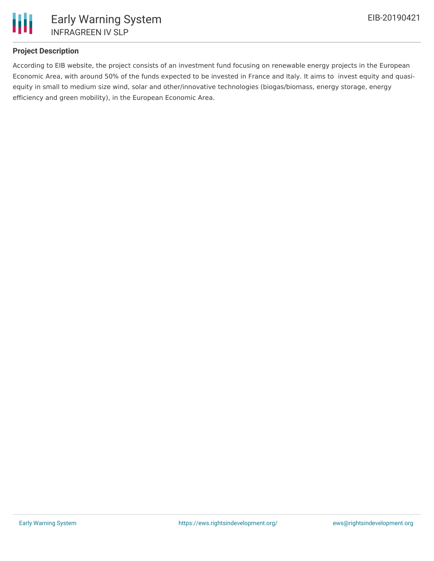

## **Project Description**

According to EIB website, the project consists of an investment fund focusing on renewable energy projects in the European Economic Area, with around 50% of the funds expected to be invested in France and Italy. It aims to invest equity and quasiequity in small to medium size wind, solar and other/innovative technologies (biogas/biomass, energy storage, energy efficiency and green mobility), in the European Economic Area.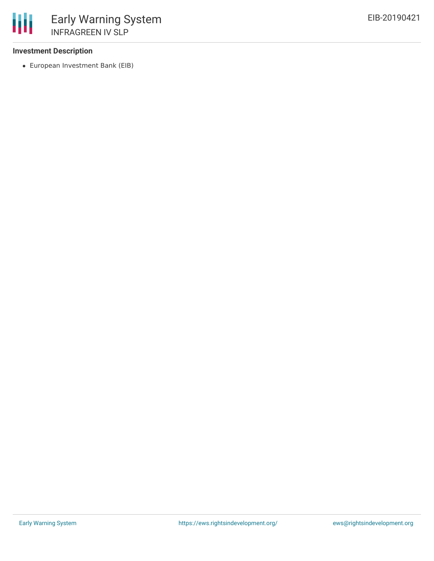## **Investment Description**

European Investment Bank (EIB)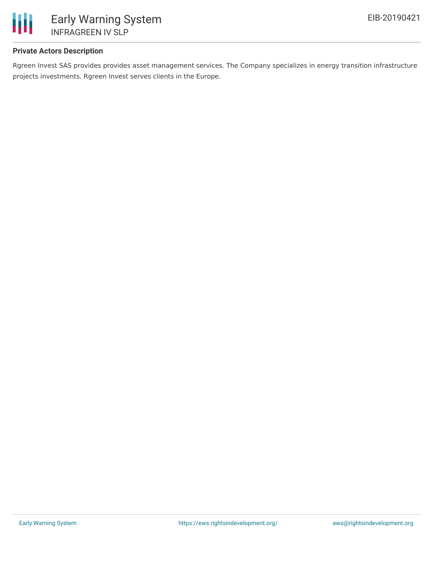

# **Private Actors Description**

Rgreen Invest SAS provides provides asset management services. The Company specializes in energy transition infrastructure projects investments. Rgreen Invest serves clients in the Europe.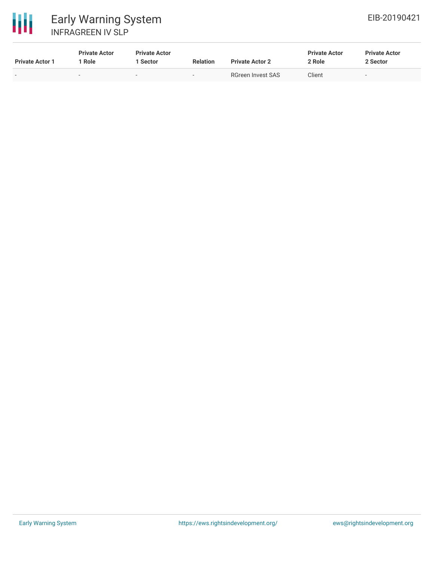



| <b>Private Actor 1</b> | <b>Private Actor</b><br><b>Role</b> | <b>Private Actor</b><br>Sector | <b>Relation</b>          | <b>Private Actor 2</b> | <b>Private Actor</b><br>2 Role | <b>Private Actor</b><br>2 Sector |
|------------------------|-------------------------------------|--------------------------------|--------------------------|------------------------|--------------------------------|----------------------------------|
| $\sim$                 | $\sim$                              |                                | $\overline{\phantom{0}}$ | RGreen Invest SAS      | Client                         | -                                |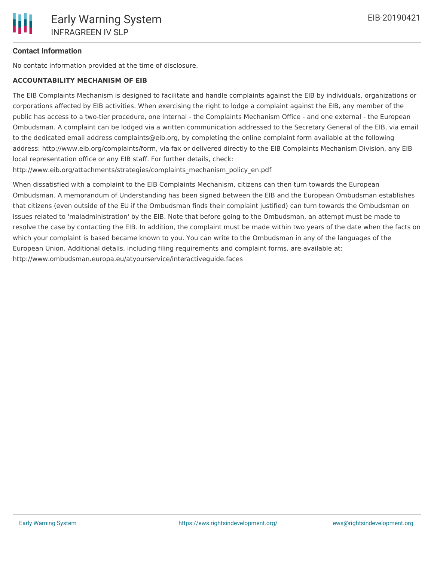## **Contact Information**

No contatc information provided at the time of disclosure.

#### **ACCOUNTABILITY MECHANISM OF EIB**

The EIB Complaints Mechanism is designed to facilitate and handle complaints against the EIB by individuals, organizations or corporations affected by EIB activities. When exercising the right to lodge a complaint against the EIB, any member of the public has access to a two-tier procedure, one internal - the Complaints Mechanism Office - and one external - the European Ombudsman. A complaint can be lodged via a written communication addressed to the Secretary General of the EIB, via email to the dedicated email address complaints@eib.org, by completing the online complaint form available at the following address: http://www.eib.org/complaints/form, via fax or delivered directly to the EIB Complaints Mechanism Division, any EIB local representation office or any EIB staff. For further details, check:

http://www.eib.org/attachments/strategies/complaints\_mechanism\_policy\_en.pdf

When dissatisfied with a complaint to the EIB Complaints Mechanism, citizens can then turn towards the European Ombudsman. A memorandum of Understanding has been signed between the EIB and the European Ombudsman establishes that citizens (even outside of the EU if the Ombudsman finds their complaint justified) can turn towards the Ombudsman on issues related to 'maladministration' by the EIB. Note that before going to the Ombudsman, an attempt must be made to resolve the case by contacting the EIB. In addition, the complaint must be made within two years of the date when the facts on which your complaint is based became known to you. You can write to the Ombudsman in any of the languages of the European Union. Additional details, including filing requirements and complaint forms, are available at: http://www.ombudsman.europa.eu/atyourservice/interactiveguide.faces